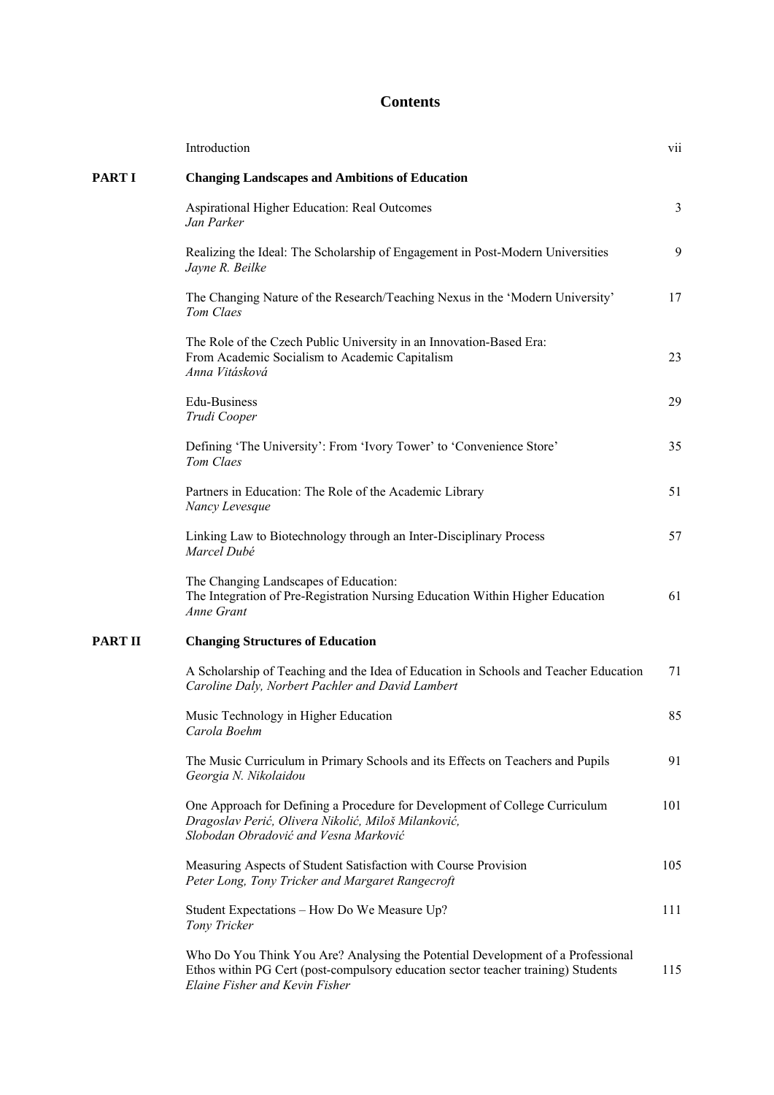## **Contents**

|                | Introduction                                                                                                                                                                                           | V11 |
|----------------|--------------------------------------------------------------------------------------------------------------------------------------------------------------------------------------------------------|-----|
| PART I         | <b>Changing Landscapes and Ambitions of Education</b>                                                                                                                                                  |     |
|                | Aspirational Higher Education: Real Outcomes<br>Jan Parker                                                                                                                                             | 3   |
|                | Realizing the Ideal: The Scholarship of Engagement in Post-Modern Universities<br>Jayne R. Beilke                                                                                                      | 9   |
|                | The Changing Nature of the Research/Teaching Nexus in the 'Modern University'<br>Tom Claes                                                                                                             | 17  |
|                | The Role of the Czech Public University in an Innovation-Based Era:<br>From Academic Socialism to Academic Capitalism<br>Anna Vitásková                                                                | 23  |
|                | Edu-Business<br>Trudi Cooper                                                                                                                                                                           | 29  |
|                | Defining 'The University': From 'Ivory Tower' to 'Convenience Store'<br>Tom Claes                                                                                                                      | 35  |
|                | Partners in Education: The Role of the Academic Library<br>Nancy Levesque                                                                                                                              | 51  |
|                | Linking Law to Biotechnology through an Inter-Disciplinary Process<br>Marcel Dubé                                                                                                                      | 57  |
|                | The Changing Landscapes of Education:<br>The Integration of Pre-Registration Nursing Education Within Higher Education<br>Anne Grant                                                                   | 61  |
| <b>PART II</b> | <b>Changing Structures of Education</b>                                                                                                                                                                |     |
|                | A Scholarship of Teaching and the Idea of Education in Schools and Teacher Education<br>Caroline Daly, Norbert Pachler and David Lambert                                                               | 71  |
|                | Music Technology in Higher Education<br>Carola Boehm                                                                                                                                                   | 85  |
|                | The Music Curriculum in Primary Schools and its Effects on Teachers and Pupils<br>Georgia N. Nikolaidou                                                                                                | 91  |
|                | One Approach for Defining a Procedure for Development of College Curriculum<br>Dragoslav Perić, Olivera Nikolić, Miloš Milanković,<br>Slobodan Obradović and Vesna Marković                            | 101 |
|                | Measuring Aspects of Student Satisfaction with Course Provision<br>Peter Long, Tony Tricker and Margaret Rangecroft                                                                                    | 105 |
|                | Student Expectations - How Do We Measure Up?<br>Tony Tricker                                                                                                                                           | 111 |
|                | Who Do You Think You Are? Analysing the Potential Development of a Professional<br>Ethos within PG Cert (post-compulsory education sector teacher training) Students<br>Elaine Fisher and Kevin Fisher | 115 |